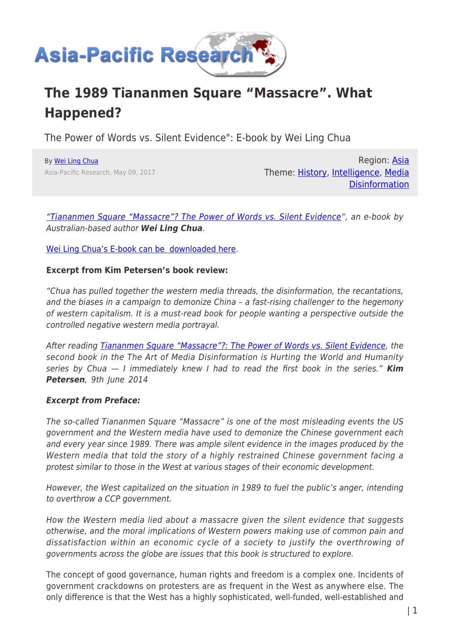

# **The 1989 Tiananmen Square "Massacre". What Happened?**

The Power of Words vs. Silent Evidence": E-book by Wei Ling Chua

By [Wei Ling Chua](https://www.asia-pacificresearch.com/author/wei-ling-chua) Asia-Pacific Research, May 09, 2017

Region: [Asia](https://www.asia-pacificresearch.com/region/asia-as) Theme: [History,](https://www.asia-pacificresearch.com/theme/as-history) [Intelligence](https://www.asia-pacificresearch.com/theme/intelligence-as), [Media](https://www.asia-pacificresearch.com/theme/media-disinformation-as) **[Disinformation](https://www.asia-pacificresearch.com/theme/media-disinformation-as)** 

["Tiananmen Square "Massacre"? The Power of Words vs. Silent Evidence"](https://drive.google.com/file/d/0B8KDUIO1nN3vZ2dHQmRVNndBMDg/view), an e-book by Australian-based author *Wei Ling Chua*.

[Wei Ling Chua's E-book can be downloaded here](https://drive.google.com/file/d/0B8KDUIO1nN3vZ2dHQmRVNndBMDg/view).

#### **Excerpt from Kim Petersen's book review:**

"Chua has pulled together the western media threads, the disinformation, the recantations, and the biases in a campaign to demonize China – a fast-rising challenger to the hegemony of western capitalism. It is a must-read book for people wanting a perspective outside the controlled negative western media portrayal.

After reading [Tiananmen Square "Massacre"?: The Power of Words vs. Silent Evidence](http://www.amazon.com/exec/obidos/ASIN/1494326590/dissivoice-20), the second book in the The Art of Media Disinformation is Hurting the World and Humanity series by Chua — I immediately knew I had to read the first book in the series." *Kim Petersen*, 9th June 2014

### *Excerpt from Preface:*

The so-called Tiananmen Square "Massacre" is one of the most misleading events the US government and the Western media have used to demonize the Chinese government each and every year since 1989. There was ample silent evidence in the images produced by the Western media that told the story of a highly restrained Chinese government facing a protest similar to those in the West at various stages of their economic development.

However, the West capitalized on the situation in 1989 to fuel the public's anger, intending to overthrow a CCP government.

How the Western media lied about a massacre given the silent evidence that suggests otherwise, and the moral implications of Western powers making use of common pain and dissatisfaction within an economic cycle of a society to justify the overthrowing of governments across the globe are issues that this book is structured to explore.

The concept of good governance, human rights and freedom is a complex one. Incidents of government crackdowns on protesters are as frequent in the West as anywhere else. The only difference is that the West has a highly sophisticated, well-funded, well-established and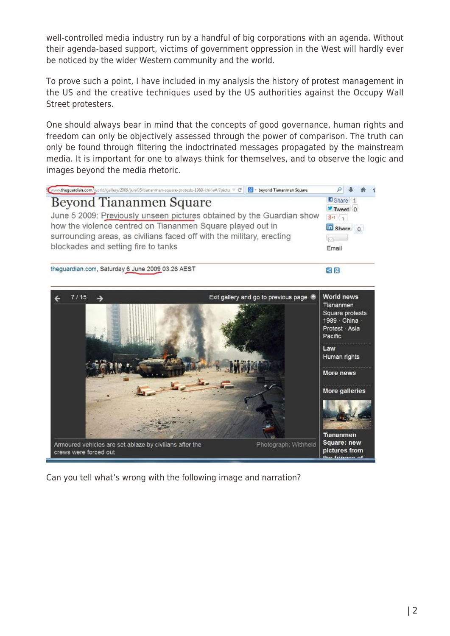well-controlled media industry run by a handful of big corporations with an agenda. Without their agenda-based support, victims of government oppression in the West will hardly ever be noticed by the wider Western community and the world.

To prove such a point, I have included in my analysis the history of protest management in the US and the creative techniques used by the US authorities against the Occupy Wall Street protesters.

One should always bear in mind that the concepts of good governance, human rights and freedom can only be objectively assessed through the power of comparison. The truth can only be found through filtering the indoctrinated messages propagated by the mainstream media. It is important for one to always think for themselves, and to observe the logic and images beyond the media rhetoric.



Can you tell what's wrong with the following image and narration?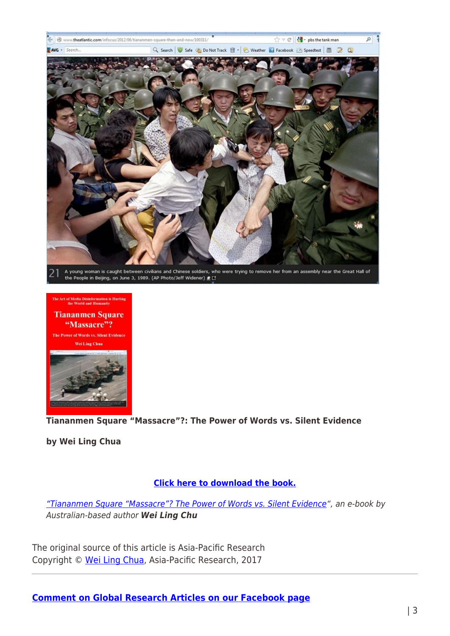



**Tiananmen Square "Massacre"?: The Power of Words vs. Silent Evidence**

**by Wei Ling Chua** 

## **[Click here to download the book.](https://drive.google.com/open?id=0B8KDUIO1nN3vZ2dHQmRVNndBMDg)**

["Tiananmen Square "Massacre"? The Power of Words vs. Silent Evidence](https://drive.google.com/file/d/0B8KDUIO1nN3vZ2dHQmRVNndBMDg/view)", an e-book by Australian-based author *Wei Ling Chu*

The original source of this article is Asia-Pacific Research Copyright © [Wei Ling Chua,](https://www.asia-pacificresearch.com/author/wei-ling-chua) Asia-Pacific Research, 2017